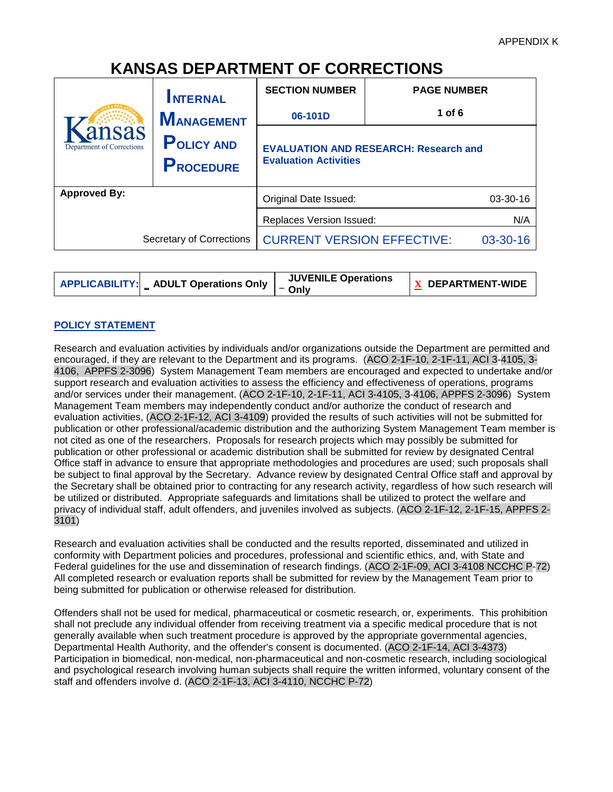# **KANSAS DEPARTMENT OF CORRECTIONS**

|                                    | <b>INTERNAL</b>                       | <b>SECTION NUMBER</b>                                                        | <b>PAGE NUMBER</b> |
|------------------------------------|---------------------------------------|------------------------------------------------------------------------------|--------------------|
|                                    | <b>MANAGEMENT</b>                     | 06-101D                                                                      | 1 of $6$           |
| ansas<br>Department of Corrections | <b>POLICY AND</b><br><b>PROCEDURE</b> | <b>EVALUATION AND RESEARCH: Research and</b><br><b>Evaluation Activities</b> |                    |
| <b>Approved By:</b>                |                                       | Original Date Issued:<br>03-30-16                                            |                    |
|                                    |                                       | Replaces Version Issued:<br>N/A                                              |                    |
| Secretary of Corrections           |                                       | <b>CURRENT VERSION EFFECTIVE:</b><br>03-30-16                                |                    |
|                                    |                                       |                                                                              |                    |

| <b>APPLICABILITY:</b> ADULT Operations Only $\vert -$ Only | <b>JUVENILE Operations</b> | $\mathbf{X}$ DEPARTMENT-WIDE |
|------------------------------------------------------------|----------------------------|------------------------------|
|------------------------------------------------------------|----------------------------|------------------------------|

# **POLICY STATEMENT**

Research and evaluation activities by individuals and/or organizations outside the Department are permitted and encouraged, if they are relevant to the Department and its programs. (ACO 2-1F-10, 2-1F-11, ACI 3-4105, 3- 4106, APPFS 2-3096) System Management Team members are encouraged and expected to undertake and/or support research and evaluation activities to assess the efficiency and effectiveness of operations, programs and/or services under their management. (ACO 2-1F-10, 2-1F-11, ACI 3-4105, 3-4106, APPFS 2-3096) System Management Team members may independently conduct and/or authorize the conduct of research and evaluation activities, (ACO 2-1F-12, ACI 3-4109) provided the results of such activities will not be submitted for publication or other professional/academic distribution and the authorizing System Management Team member is not cited as one of the researchers. Proposals for research projects which may possibly be submitted for publication or other professional or academic distribution shall be submitted for review by designated Central Office staff in advance to ensure that appropriate methodologies and procedures are used; such proposals shall be subject to final approval by the Secretary. Advance review by designated Central Office staff and approval by the Secretary shall be obtained prior to contracting for any research activity, regardless of how such research will be utilized or distributed. Appropriate safeguards and limitations shall be utilized to protect the welfare and privacy of individual staff, adult offenders, and juveniles involved as subjects. (ACO 2-1F-12, 2-1F-15, APPFS 2- 3101)

Research and evaluation activities shall be conducted and the results reported, disseminated and utilized in conformity with Department policies and procedures, professional and scientific ethics, and, with State and Federal guidelines for the use and dissemination of research findings. (ACO 2-1F-09, ACI 3-4108 NCCHC P-72) All completed research or evaluation reports shall be submitted for review by the Management Team prior to being submitted for publication or otherwise released for distribution.

Offenders shall not be used for medical, pharmaceutical or cosmetic research, or, experiments. This prohibition shall not preclude any individual offender from receiving treatment via a specific medical procedure that is not generally available when such treatment procedure is approved by the appropriate governmental agencies, Departmental Health Authority, and the offender's consent is documented. (ACO 2-1F-14, ACI 3-4373) Participation in biomedical, non-medical, non-pharmaceutical and non-cosmetic research, including sociological and psychological research involving human subjects shall require the written informed, voluntary consent of the staff and offenders involve d. (ACO 2-1F-13, ACI 3-4110, NCCHC P-72)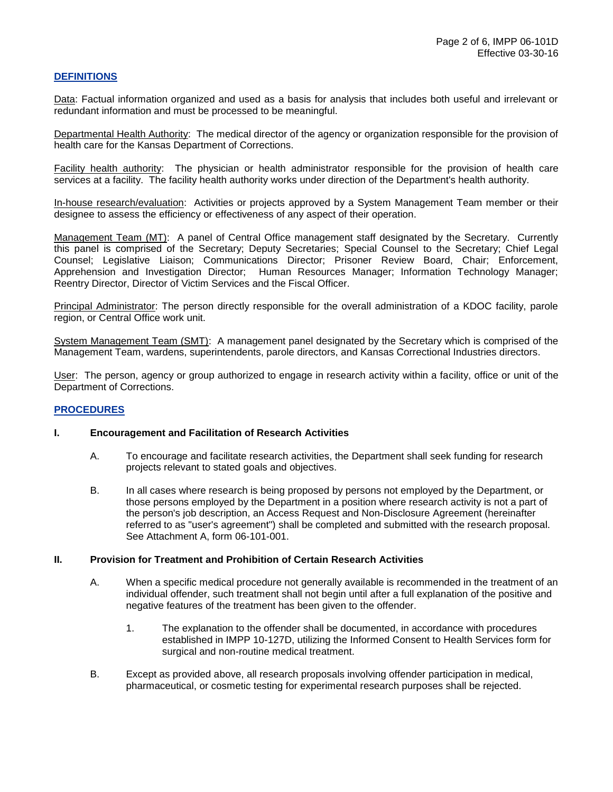## **DEFINITIONS**

Data: Factual information organized and used as a basis for analysis that includes both useful and irrelevant or redundant information and must be processed to be meaningful.

Departmental Health Authority: The medical director of the agency or organization responsible for the provision of health care for the Kansas Department of Corrections.

Facility health authority: The physician or health administrator responsible for the provision of health care services at a facility. The facility health authority works under direction of the Department's health authority.

In-house research/evaluation: Activities or projects approved by a System Management Team member or their designee to assess the efficiency or effectiveness of any aspect of their operation.

Management Team (MT): A panel of Central Office management staff designated by the Secretary. Currently this panel is comprised of the Secretary; Deputy Secretaries; Special Counsel to the Secretary; Chief Legal Counsel; Legislative Liaison; Communications Director; Prisoner Review Board, Chair; Enforcement, Apprehension and Investigation Director; Human Resources Manager; Information Technology Manager; Reentry Director, Director of Victim Services and the Fiscal Officer.

Principal Administrator: The person directly responsible for the overall administration of a KDOC facility, parole region, or Central Office work unit.

System Management Team (SMT): A management panel designated by the Secretary which is comprised of the Management Team, wardens, superintendents, parole directors, and Kansas Correctional Industries directors.

User: The person, agency or group authorized to engage in research activity within a facility, office or unit of the Department of Corrections.

#### **PROCEDURES**

#### **I. Encouragement and Facilitation of Research Activities**

- A. To encourage and facilitate research activities, the Department shall seek funding for research projects relevant to stated goals and objectives.
- B. In all cases where research is being proposed by persons not employed by the Department, or those persons employed by the Department in a position where research activity is not a part of the person's job description, an Access Request and Non-Disclosure Agreement (hereinafter referred to as "user's agreement") shall be completed and submitted with the research proposal. See Attachment A, form 06-101-001.

#### **II. Provision for Treatment and Prohibition of Certain Research Activities**

- A. When a specific medical procedure not generally available is recommended in the treatment of an individual offender, such treatment shall not begin until after a full explanation of the positive and negative features of the treatment has been given to the offender.
	- 1. The explanation to the offender shall be documented, in accordance with procedures established in IMPP 10-127D, utilizing the Informed Consent to Health Services form for surgical and non-routine medical treatment.
- B. Except as provided above, all research proposals involving offender participation in medical, pharmaceutical, or cosmetic testing for experimental research purposes shall be rejected.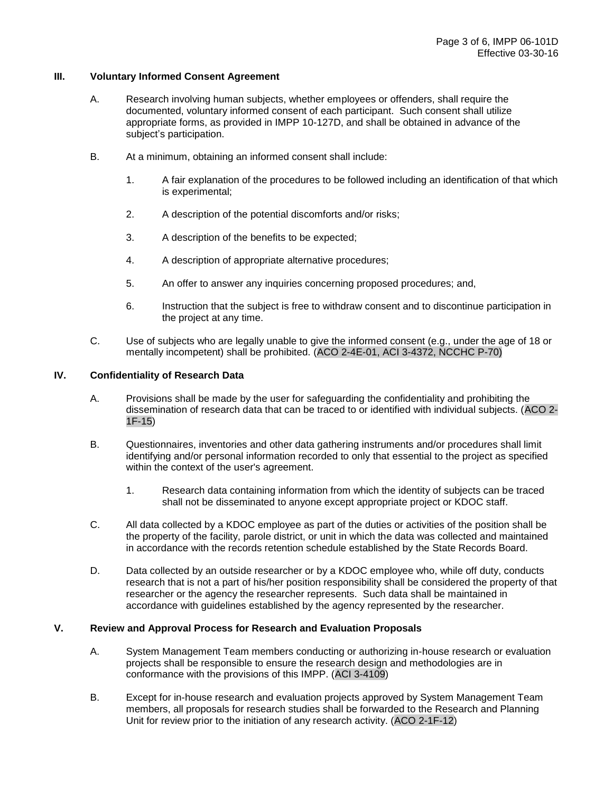#### **III. Voluntary Informed Consent Agreement**

- A. Research involving human subjects, whether employees or offenders, shall require the documented, voluntary informed consent of each participant. Such consent shall utilize appropriate forms, as provided in IMPP 10-127D, and shall be obtained in advance of the subject's participation.
- B. At a minimum, obtaining an informed consent shall include:
	- 1. A fair explanation of the procedures to be followed including an identification of that which is experimental;
	- 2. A description of the potential discomforts and/or risks;
	- 3. A description of the benefits to be expected;
	- 4. A description of appropriate alternative procedures;
	- 5. An offer to answer any inquiries concerning proposed procedures; and,
	- 6. Instruction that the subject is free to withdraw consent and to discontinue participation in the project at any time.
- C. Use of subjects who are legally unable to give the informed consent (e.g., under the age of 18 or mentally incompetent) shall be prohibited. (ACO 2-4E-01, ACI 3-4372, NCCHC P-70)

## **IV. Confidentiality of Research Data**

- A. Provisions shall be made by the user for safeguarding the confidentiality and prohibiting the dissemination of research data that can be traced to or identified with individual subjects. (ACO 2- 1F-15)
- B. Questionnaires, inventories and other data gathering instruments and/or procedures shall limit identifying and/or personal information recorded to only that essential to the project as specified within the context of the user's agreement.
	- 1. Research data containing information from which the identity of subjects can be traced shall not be disseminated to anyone except appropriate project or KDOC staff.
- C. All data collected by a KDOC employee as part of the duties or activities of the position shall be the property of the facility, parole district, or unit in which the data was collected and maintained in accordance with the records retention schedule established by the State Records Board.
- D. Data collected by an outside researcher or by a KDOC employee who, while off duty, conducts research that is not a part of his/her position responsibility shall be considered the property of that researcher or the agency the researcher represents. Such data shall be maintained in accordance with guidelines established by the agency represented by the researcher.

#### **V. Review and Approval Process for Research and Evaluation Proposals**

- A. System Management Team members conducting or authorizing in-house research or evaluation projects shall be responsible to ensure the research design and methodologies are in conformance with the provisions of this IMPP. (ACI 3-4109)
- B. Except for in-house research and evaluation projects approved by System Management Team members, all proposals for research studies shall be forwarded to the Research and Planning Unit for review prior to the initiation of any research activity. (ACO 2-1F-12)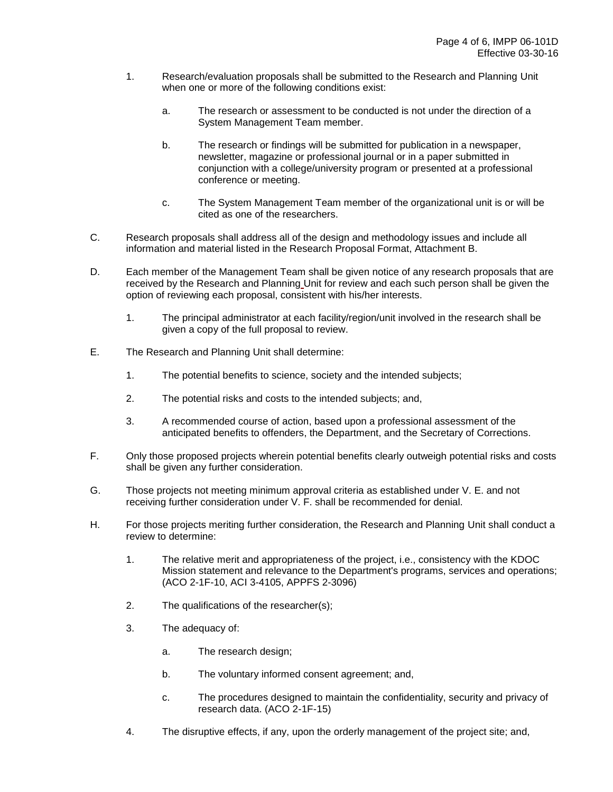- 1. Research/evaluation proposals shall be submitted to the Research and Planning Unit when one or more of the following conditions exist:
	- a. The research or assessment to be conducted is not under the direction of a System Management Team member.
	- b. The research or findings will be submitted for publication in a newspaper, newsletter, magazine or professional journal or in a paper submitted in conjunction with a college/university program or presented at a professional conference or meeting.
	- c. The System Management Team member of the organizational unit is or will be cited as one of the researchers.
- C. Research proposals shall address all of the design and methodology issues and include all information and material listed in the Research Proposal Format, Attachment B.
- D. Each member of the Management Team shall be given notice of any research proposals that are received by the Research and Planning Unit for review and each such person shall be given the option of reviewing each proposal, consistent with his/her interests.
	- 1. The principal administrator at each facility/region/unit involved in the research shall be given a copy of the full proposal to review.
- E. The Research and Planning Unit shall determine:
	- 1. The potential benefits to science, society and the intended subjects;
	- 2. The potential risks and costs to the intended subjects; and,
	- 3. A recommended course of action, based upon a professional assessment of the anticipated benefits to offenders, the Department, and the Secretary of Corrections.
- F. Only those proposed projects wherein potential benefits clearly outweigh potential risks and costs shall be given any further consideration.
- G. Those projects not meeting minimum approval criteria as established under V. E. and not receiving further consideration under V. F. shall be recommended for denial.
- H. For those projects meriting further consideration, the Research and Planning Unit shall conduct a review to determine:
	- 1. The relative merit and appropriateness of the project, i.e., consistency with the KDOC Mission statement and relevance to the Department's programs, services and operations; (ACO 2-1F-10, ACI 3-4105, APPFS 2-3096)
	- 2. The qualifications of the researcher(s);
	- 3. The adequacy of:
		- a. The research design;
		- b. The voluntary informed consent agreement; and,
		- c. The procedures designed to maintain the confidentiality, security and privacy of research data. (ACO 2-1F-15)
	- 4. The disruptive effects, if any, upon the orderly management of the project site; and,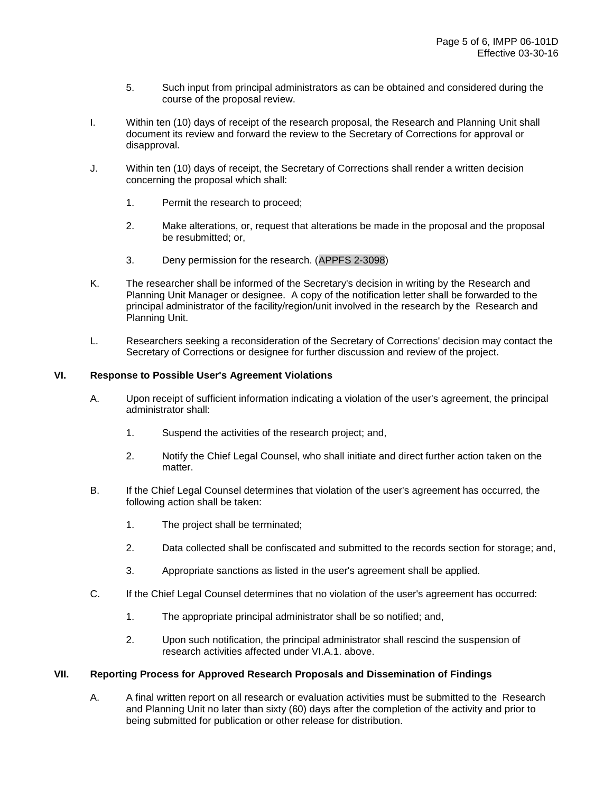- 5. Such input from principal administrators as can be obtained and considered during the course of the proposal review.
- I. Within ten (10) days of receipt of the research proposal, the Research and Planning Unit shall document its review and forward the review to the Secretary of Corrections for approval or disapproval.
- J. Within ten (10) days of receipt, the Secretary of Corrections shall render a written decision concerning the proposal which shall:
	- 1. Permit the research to proceed;
	- 2. Make alterations, or, request that alterations be made in the proposal and the proposal be resubmitted; or,
	- 3. Deny permission for the research. (APPFS 2-3098)
- K. The researcher shall be informed of the Secretary's decision in writing by the Research and Planning Unit Manager or designee. A copy of the notification letter shall be forwarded to the principal administrator of the facility/region/unit involved in the research by the Research and Planning Unit.
- L. Researchers seeking a reconsideration of the Secretary of Corrections' decision may contact the Secretary of Corrections or designee for further discussion and review of the project.

## **VI. Response to Possible User's Agreement Violations**

- A. Upon receipt of sufficient information indicating a violation of the user's agreement, the principal administrator shall:
	- 1. Suspend the activities of the research project; and,
	- 2. Notify the Chief Legal Counsel, who shall initiate and direct further action taken on the matter.
- B. If the Chief Legal Counsel determines that violation of the user's agreement has occurred, the following action shall be taken:
	- 1. The project shall be terminated;
	- 2. Data collected shall be confiscated and submitted to the records section for storage; and,
	- 3. Appropriate sanctions as listed in the user's agreement shall be applied.
- C. If the Chief Legal Counsel determines that no violation of the user's agreement has occurred:
	- 1. The appropriate principal administrator shall be so notified; and,
	- 2. Upon such notification, the principal administrator shall rescind the suspension of research activities affected under VI.A.1. above.

#### **VII. Reporting Process for Approved Research Proposals and Dissemination of Findings**

A. A final written report on all research or evaluation activities must be submitted to the Research and Planning Unit no later than sixty (60) days after the completion of the activity and prior to being submitted for publication or other release for distribution.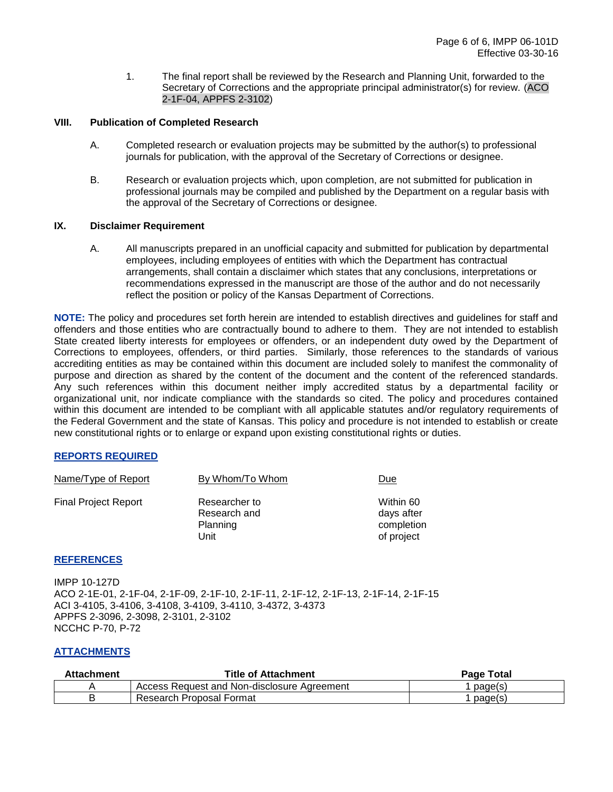1. The final report shall be reviewed by the Research and Planning Unit, forwarded to the Secretary of Corrections and the appropriate principal administrator(s) for review. (ACO 2-1F-04, APPFS 2-3102)

## **VIII. Publication of Completed Research**

- A. Completed research or evaluation projects may be submitted by the author(s) to professional journals for publication, with the approval of the Secretary of Corrections or designee.
- B. Research or evaluation projects which, upon completion, are not submitted for publication in professional journals may be compiled and published by the Department on a regular basis with the approval of the Secretary of Corrections or designee.

#### **IX. Disclaimer Requirement**

A. All manuscripts prepared in an unofficial capacity and submitted for publication by departmental employees, including employees of entities with which the Department has contractual arrangements, shall contain a disclaimer which states that any conclusions, interpretations or recommendations expressed in the manuscript are those of the author and do not necessarily reflect the position or policy of the Kansas Department of Corrections.

**NOTE:** The policy and procedures set forth herein are intended to establish directives and guidelines for staff and offenders and those entities who are contractually bound to adhere to them. They are not intended to establish State created liberty interests for employees or offenders, or an independent duty owed by the Department of Corrections to employees, offenders, or third parties. Similarly, those references to the standards of various accrediting entities as may be contained within this document are included solely to manifest the commonality of purpose and direction as shared by the content of the document and the content of the referenced standards. Any such references within this document neither imply accredited status by a departmental facility or organizational unit, nor indicate compliance with the standards so cited. The policy and procedures contained within this document are intended to be compliant with all applicable statutes and/or regulatory requirements of the Federal Government and the state of Kansas. This policy and procedure is not intended to establish or create new constitutional rights or to enlarge or expand upon existing constitutional rights or duties.

#### **REPORTS REQUIRED**

| Name/Type of Report         | By Whom/To Whom                                   | Due                                                 |
|-----------------------------|---------------------------------------------------|-----------------------------------------------------|
| <b>Final Project Report</b> | Researcher to<br>Research and<br>Planning<br>Unit | Within 60<br>days after<br>completion<br>of project |

#### **REFERENCES**

IMPP 10-127D ACO 2-1E-01, 2-1F-04, 2-1F-09, 2-1F-10, 2-1F-11, 2-1F-12, 2-1F-13, 2-1F-14, 2-1F-15 ACI 3-4105, 3-4106, 3-4108, 3-4109, 3-4110, 3-4372, 3-4373 APPFS 2-3096, 2-3098, 2-3101, 2-3102 NCCHC P-70, P-72

## **ATTACHMENTS**

| <b>Attachment</b> | <b>Title of Attachment</b>                  | <b>Page Total</b> |
|-------------------|---------------------------------------------|-------------------|
|                   | Access Request and Non-disclosure Agreement | page(s)           |
|                   | Research Proposal Format                    | page(s)           |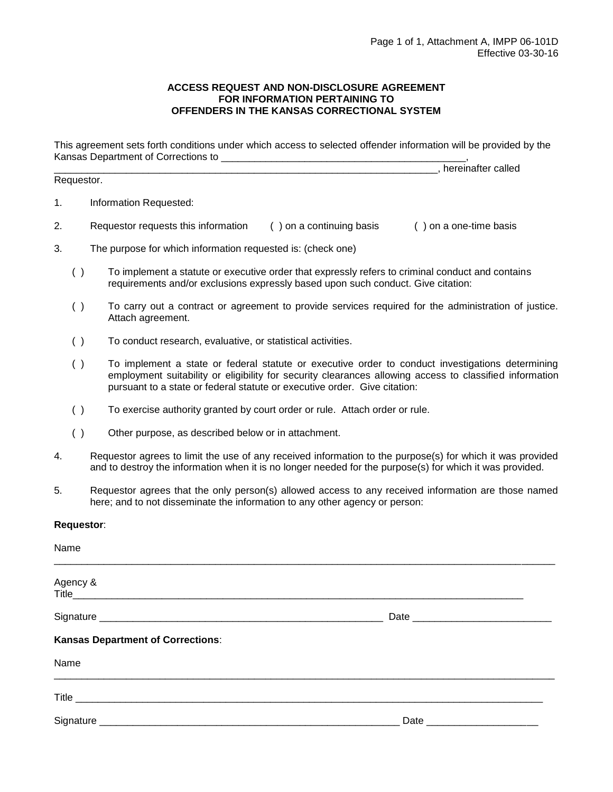### **ACCESS REQUEST AND NON-DISCLOSURE AGREEMENT FOR INFORMATION PERTAINING TO OFFENDERS IN THE KANSAS CORRECTIONAL SYSTEM**

This agreement sets forth conditions under which access to selected offender information will be provided by the Kansas Department of Corrections to \_\_\_\_\_\_\_\_\_\_\_\_\_\_\_\_\_\_\_\_\_\_\_\_\_\_\_\_\_\_\_\_\_\_\_\_\_\_\_\_\_\_\_\_\_\_\_\_\_\_\_\_\_\_\_\_\_\_\_\_\_\_\_\_\_\_\_\_\_, hereinafter called

Requestor.

- 1. Information Requested:
- 2. Requestor requests this information ( ) on a continuing basis ( ) on a one-time basis
- 3. The purpose for which information requested is: (check one)
	- ( ) To implement a statute or executive order that expressly refers to criminal conduct and contains requirements and/or exclusions expressly based upon such conduct. Give citation:
	- ( ) To carry out a contract or agreement to provide services required for the administration of justice. Attach agreement.
	- ( ) To conduct research, evaluative, or statistical activities.
	- ( ) To implement a state or federal statute or executive order to conduct investigations determining employment suitability or eligibility for security clearances allowing access to classified information pursuant to a state or federal statute or executive order. Give citation:
	- ( ) To exercise authority granted by court order or rule. Attach order or rule.
	- ( ) Other purpose, as described below or in attachment.
- 4. Requestor agrees to limit the use of any received information to the purpose(s) for which it was provided and to destroy the information when it is no longer needed for the purpose(s) for which it was provided.
- 5. Requestor agrees that the only person(s) allowed access to any received information are those named here; and to not disseminate the information to any other agency or person:

#### **Requestor**:

| Name                                     |  |
|------------------------------------------|--|
| Agency &                                 |  |
|                                          |  |
| <b>Kansas Department of Corrections:</b> |  |
| Name                                     |  |
|                                          |  |
|                                          |  |